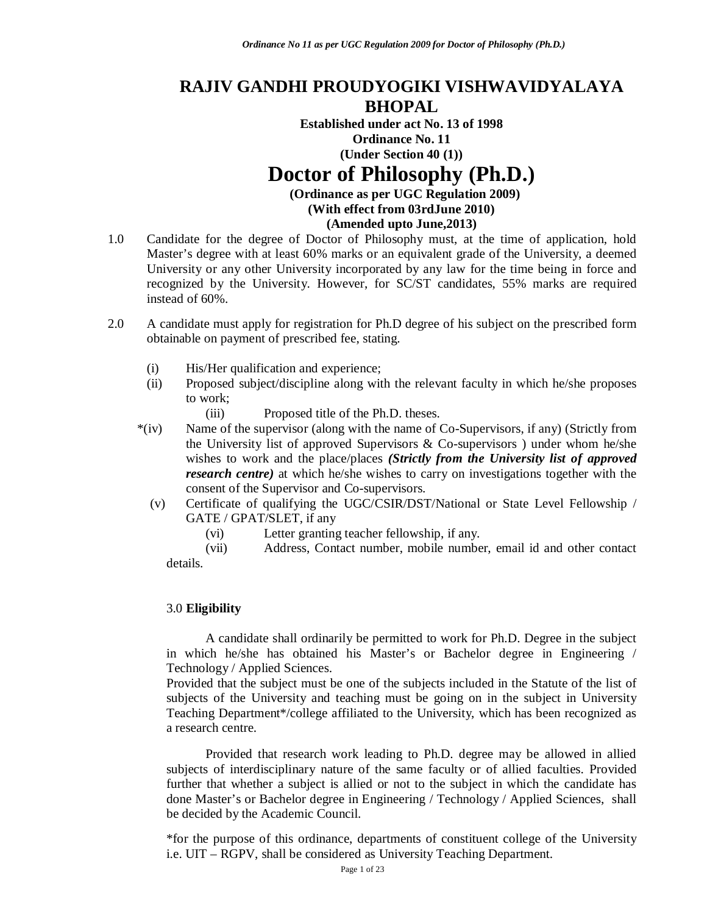## **RAJIV GANDHI PROUDYOGIKI VISHWAVIDYALAYA BHOPAL**

**Established under act No. 13 of 1998 Ordinance No. 11 (Under Section 40 (1))**

# **Doctor of Philosophy (Ph.D.)**

**(Ordinance as per UGC Regulation 2009)**

**(With effect from 03rdJune 2010)** 

**(Amended upto June,2013)**

- 1.0 Candidate for the degree of Doctor of Philosophy must, at the time of application, hold Master's degree with at least 60% marks or an equivalent grade of the University, a deemed University or any other University incorporated by any law for the time being in force and recognized by the University. However, for SC/ST candidates, 55% marks are required instead of 60%.
- 2.0 A candidate must apply for registration for Ph.D degree of his subject on the prescribed form obtainable on payment of prescribed fee, stating.
	- (i) His/Her qualification and experience;
	- (ii) Proposed subject/discipline along with the relevant faculty in which he/she proposes to work;
		- (iii) Proposed title of the Ph.D. theses.
	- \*(iv) Name of the supervisor (along with the name of Co-Supervisors, if any) (Strictly from the University list of approved Supervisors  $\&$  Co-supervisors ) under whom he/she wishes to work and the place/places *(Strictly from the University list of approved research centre*) at which he/she wishes to carry on investigations together with the consent of the Supervisor and Co-supervisors.
		- (v) Certificate of qualifying the UGC/CSIR/DST/National or State Level Fellowship / GATE / GPAT/SLET, if any
			- (vi) Letter granting teacher fellowship, if any.

(vii) Address, Contact number, mobile number, email id and other contact details.

## 3.0 **Eligibility**

A candidate shall ordinarily be permitted to work for Ph.D. Degree in the subject in which he/she has obtained his Master's or Bachelor degree in Engineering / Technology / Applied Sciences.

Provided that the subject must be one of the subjects included in the Statute of the list of subjects of the University and teaching must be going on in the subject in University Teaching Department\*/college affiliated to the University, which has been recognized as a research centre.

Provided that research work leading to Ph.D. degree may be allowed in allied subjects of interdisciplinary nature of the same faculty or of allied faculties. Provided further that whether a subject is allied or not to the subject in which the candidate has done Master's or Bachelor degree in Engineering / Technology / Applied Sciences, shall be decided by the Academic Council.

\*for the purpose of this ordinance, departments of constituent college of the University i.e. UIT – RGPV, shall be considered as University Teaching Department.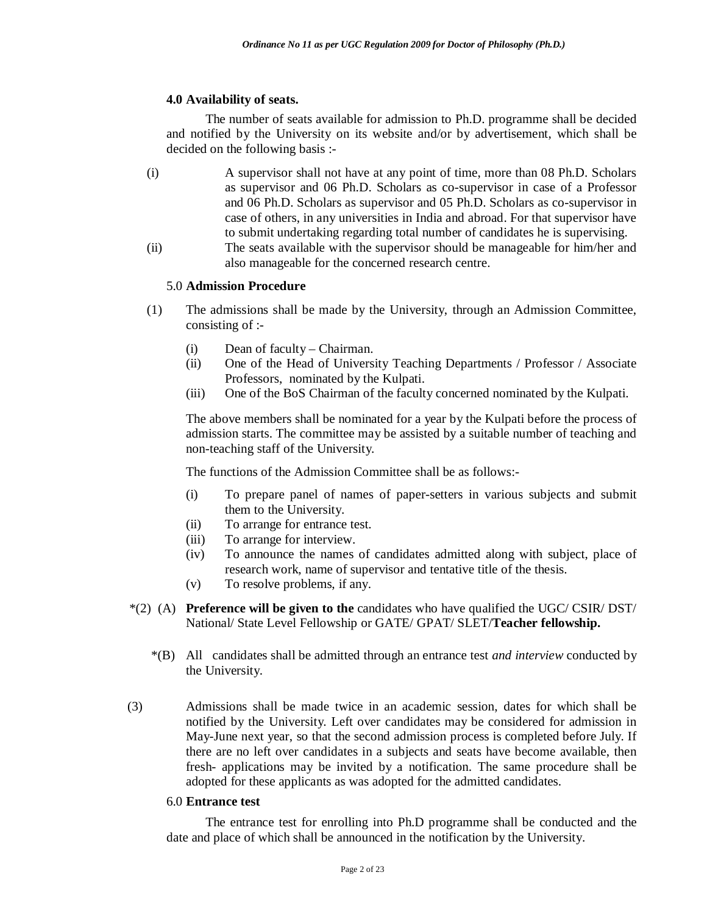### **4.0 Availability of seats.**

The number of seats available for admission to Ph.D. programme shall be decided and notified by the University on its website and/or by advertisement, which shall be decided on the following basis :-

- (i) A supervisor shall not have at any point of time, more than 08 Ph.D. Scholars as supervisor and 06 Ph.D. Scholars as co-supervisor in case of a Professor and 06 Ph.D. Scholars as supervisor and 05 Ph.D. Scholars as co-supervisor in case of others, in any universities in India and abroad. For that supervisor have to submit undertaking regarding total number of candidates he is supervising.
- (ii) The seats available with the supervisor should be manageable for him/her and also manageable for the concerned research centre.

#### 5.0 **Admission Procedure**

- (1) The admissions shall be made by the University, through an Admission Committee, consisting of :-
	- (i) Dean of faculty Chairman.
	- (ii) One of the Head of University Teaching Departments / Professor / Associate Professors, nominated by the Kulpati.
	- (iii) One of the BoS Chairman of the faculty concerned nominated by the Kulpati.

The above members shall be nominated for a year by the Kulpati before the process of admission starts. The committee may be assisted by a suitable number of teaching and non-teaching staff of the University.

The functions of the Admission Committee shall be as follows:-

- (i) To prepare panel of names of paper-setters in various subjects and submit them to the University.
- (ii) To arrange for entrance test.
- (iii) To arrange for interview.
- (iv) To announce the names of candidates admitted along with subject, place of research work, name of supervisor and tentative title of the thesis.
- (v) To resolve problems, if any.
- \*(2) (A) **Preference will be given to the** candidates who have qualified the UGC/ CSIR/ DST/ National/ State Level Fellowship or GATE/ GPAT/ SLET/**Teacher fellowship.**
	- \*(B) All candidates shall be admitted through an entrance test *and interview* conducted by the University.
- (3) Admissions shall be made twice in an academic session, dates for which shall be notified by the University. Left over candidates may be considered for admission in May-June next year, so that the second admission process is completed before July. If there are no left over candidates in a subjects and seats have become available, then fresh- applications may be invited by a notification. The same procedure shall be adopted for these applicants as was adopted for the admitted candidates.

#### 6.0 **Entrance test**

The entrance test for enrolling into Ph.D programme shall be conducted and the date and place of which shall be announced in the notification by the University.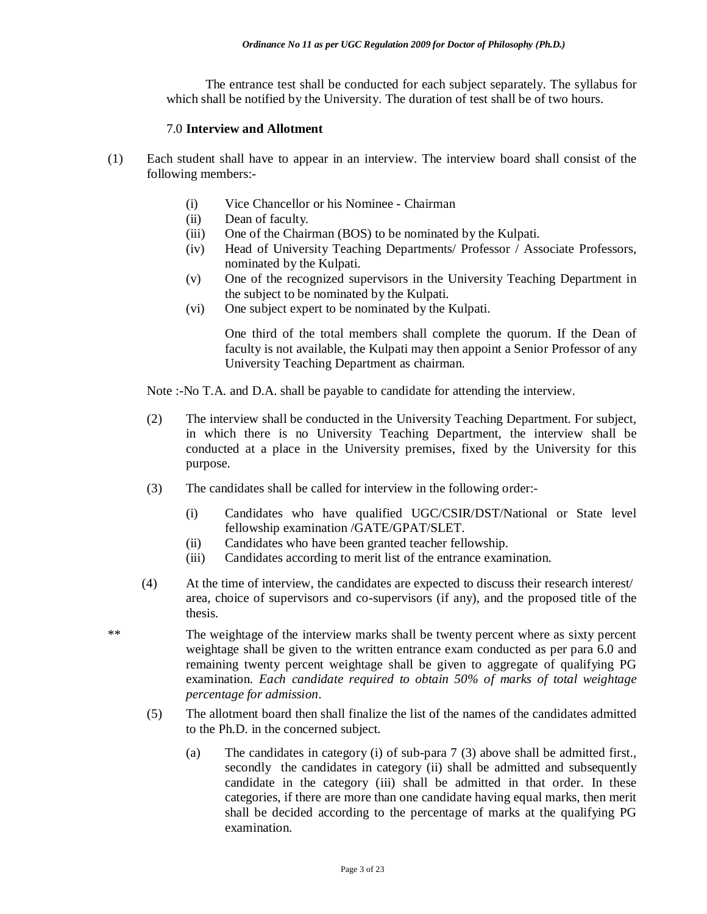The entrance test shall be conducted for each subject separately. The syllabus for which shall be notified by the University. The duration of test shall be of two hours.

#### 7.0 **Interview and Allotment**

- (1) Each student shall have to appear in an interview. The interview board shall consist of the following members:-
	- (i) Vice Chancellor or his Nominee Chairman
	- (ii) Dean of faculty.
	- (iii) One of the Chairman (BOS) to be nominated by the Kulpati.
	- (iv) Head of University Teaching Departments/ Professor / Associate Professors, nominated by the Kulpati.
	- (v) One of the recognized supervisors in the University Teaching Department in the subject to be nominated by the Kulpati.
	- (vi) One subject expert to be nominated by the Kulpati.

One third of the total members shall complete the quorum. If the Dean of faculty is not available, the Kulpati may then appoint a Senior Professor of any University Teaching Department as chairman.

Note :-No T.A. and D.A. shall be payable to candidate for attending the interview.

- (2) The interview shall be conducted in the University Teaching Department. For subject, in which there is no University Teaching Department, the interview shall be conducted at a place in the University premises, fixed by the University for this purpose.
- (3) The candidates shall be called for interview in the following order:-
	- (i) Candidates who have qualified UGC/CSIR/DST/National or State level fellowship examination /GATE/GPAT/SLET.
	- (ii) Candidates who have been granted teacher fellowship.
	- (iii) Candidates according to merit list of the entrance examination.
- (4) At the time of interview, the candidates are expected to discuss their research interest/ area, choice of supervisors and co-supervisors (if any), and the proposed title of the thesis.

\*\* The weightage of the interview marks shall be twenty percent where as sixty percent weightage shall be given to the written entrance exam conducted as per para 6.0 and remaining twenty percent weightage shall be given to aggregate of qualifying PG examination. *Each candidate required to obtain 50% of marks of total weightage percentage for admission*.

- (5) The allotment board then shall finalize the list of the names of the candidates admitted to the Ph.D. in the concerned subject.
	- (a) The candidates in category (i) of sub-para 7 (3) above shall be admitted first., secondly the candidates in category (ii) shall be admitted and subsequently candidate in the category (iii) shall be admitted in that order. In these categories, if there are more than one candidate having equal marks, then merit shall be decided according to the percentage of marks at the qualifying PG examination.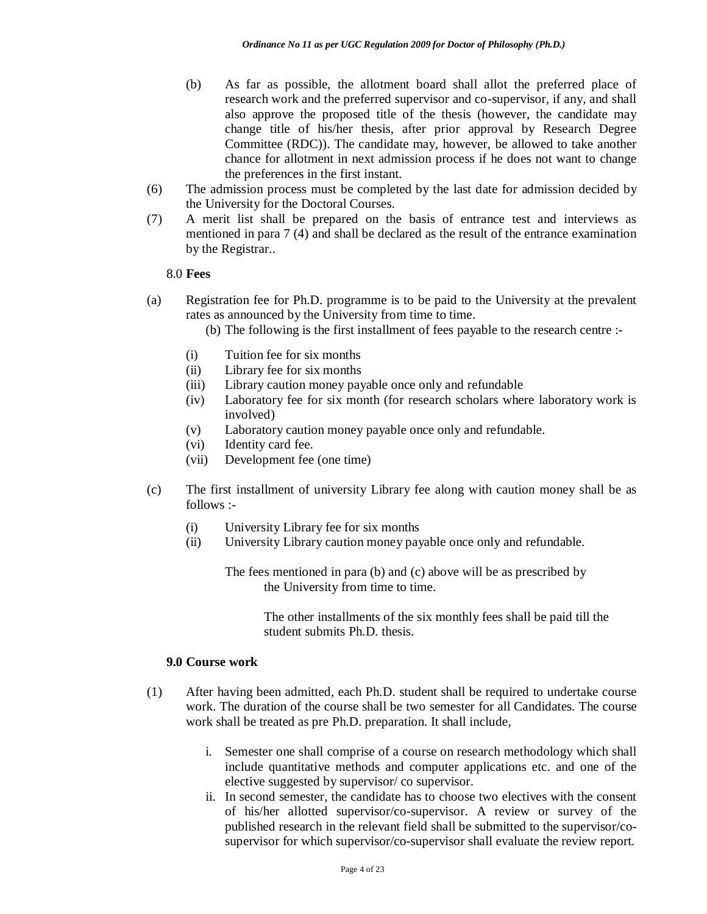- (b) As far as possible, the allotment board shall allot the preferred place of research work and the preferred supervisor and co-supervisor, if any, and shall also approve the proposed title of the thesis (however, the candidate may change title of his/her thesis, after prior approval by Research Degree Committee (RDC)). The candidate may, however, be allowed to take another chance for allotment in next admission process if he does not want to change the preferences in the first instant.
- (6) The admission process must be completed by the last date for admission decided by the University for the Doctoral Courses.
- (7) A merit list shall be prepared on the basis of entrance test and interviews as mentioned in para 7 (4) and shall be declared as the result of the entrance examination by the Registrar..

#### 8.0 **Fees**

- (a) Registration fee for Ph.D. programme is to be paid to the University at the prevalent rates as announced by the University from time to time.
	- (b) The following is the first installment of fees payable to the research centre :-
	- (i) Tuition fee for six months
	- (ii) Library fee for six months
	- (iii) Library caution money payable once only and refundable
	- (iv) Laboratory fee for six month (for research scholars where laboratory work is involved)
	- (v) Laboratory caution money payable once only and refundable.
	- (vi) Identity card fee.
	- (vii) Development fee (one time)
- (c) The first installment of university Library fee along with caution money shall be as follows :-
	- (i) University Library fee for six months
	- (ii) University Library caution money payable once only and refundable.

The fees mentioned in para (b) and (c) above will be as prescribed by the University from time to time.

> The other installments of the six monthly fees shall be paid till the student submits Ph.D. thesis.

#### **9.0 Course work**

- (1) After having been admitted, each Ph.D. student shall be required to undertake course work. The duration of the course shall be two semester for all Candidates. The course work shall be treated as pre Ph.D. preparation. It shall include,
	- i. Semester one shall comprise of a course on research methodology which shall include quantitative methods and computer applications etc. and one of the elective suggested by supervisor/ co supervisor.
	- ii. In second semester, the candidate has to choose two electives with the consent of his/her allotted supervisor/co-supervisor. A review or survey of the published research in the relevant field shall be submitted to the supervisor/cosupervisor for which supervisor/co-supervisor shall evaluate the review report.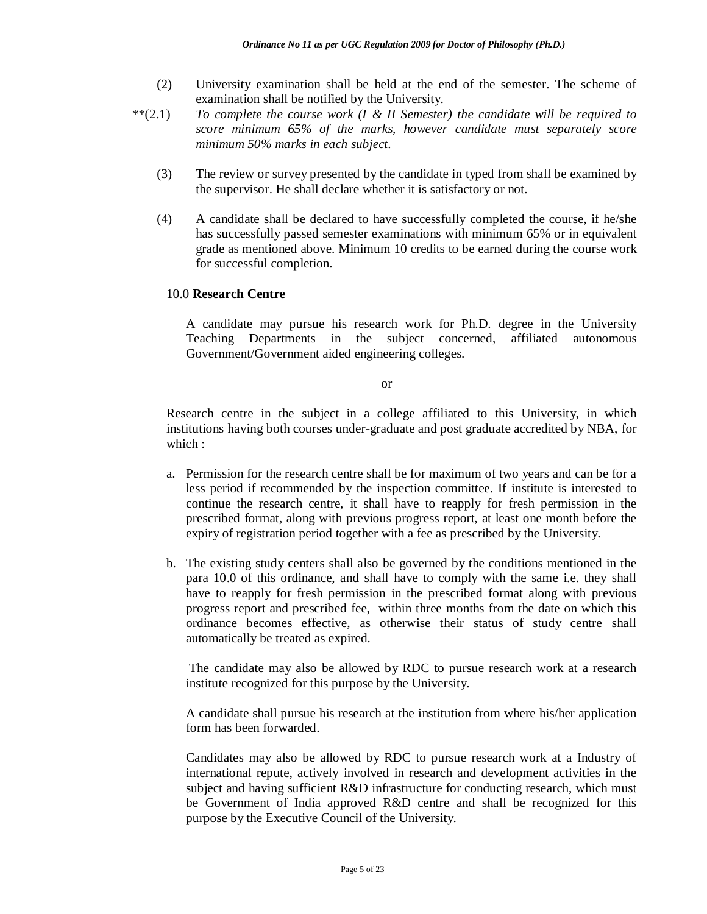- (2) University examination shall be held at the end of the semester. The scheme of examination shall be notified by the University.
- \*\*(2.1) *To complete the course work (I & II Semester) the candidate will be required to score minimum 65% of the marks, however candidate must separately score minimum 50% marks in each subject.* 
	- (3) The review or survey presented by the candidate in typed from shall be examined by the supervisor. He shall declare whether it is satisfactory or not.
	- (4) A candidate shall be declared to have successfully completed the course, if he/she has successfully passed semester examinations with minimum 65% or in equivalent grade as mentioned above. Minimum 10 credits to be earned during the course work for successful completion.

## 10.0 **Research Centre**

A candidate may pursue his research work for Ph.D. degree in the University Teaching Departments in the subject concerned, affiliated autonomous Government/Government aided engineering colleges.

or

Research centre in the subject in a college affiliated to this University, in which institutions having both courses under-graduate and post graduate accredited by NBA, for which :

- a. Permission for the research centre shall be for maximum of two years and can be for a less period if recommended by the inspection committee. If institute is interested to continue the research centre, it shall have to reapply for fresh permission in the prescribed format, along with previous progress report, at least one month before the expiry of registration period together with a fee as prescribed by the University.
- b. The existing study centers shall also be governed by the conditions mentioned in the para 10.0 of this ordinance, and shall have to comply with the same i.e. they shall have to reapply for fresh permission in the prescribed format along with previous progress report and prescribed fee, within three months from the date on which this ordinance becomes effective, as otherwise their status of study centre shall automatically be treated as expired.

The candidate may also be allowed by RDC to pursue research work at a research institute recognized for this purpose by the University.

A candidate shall pursue his research at the institution from where his/her application form has been forwarded.

Candidates may also be allowed by RDC to pursue research work at a Industry of international repute, actively involved in research and development activities in the subject and having sufficient R&D infrastructure for conducting research, which must be Government of India approved R&D centre and shall be recognized for this purpose by the Executive Council of the University.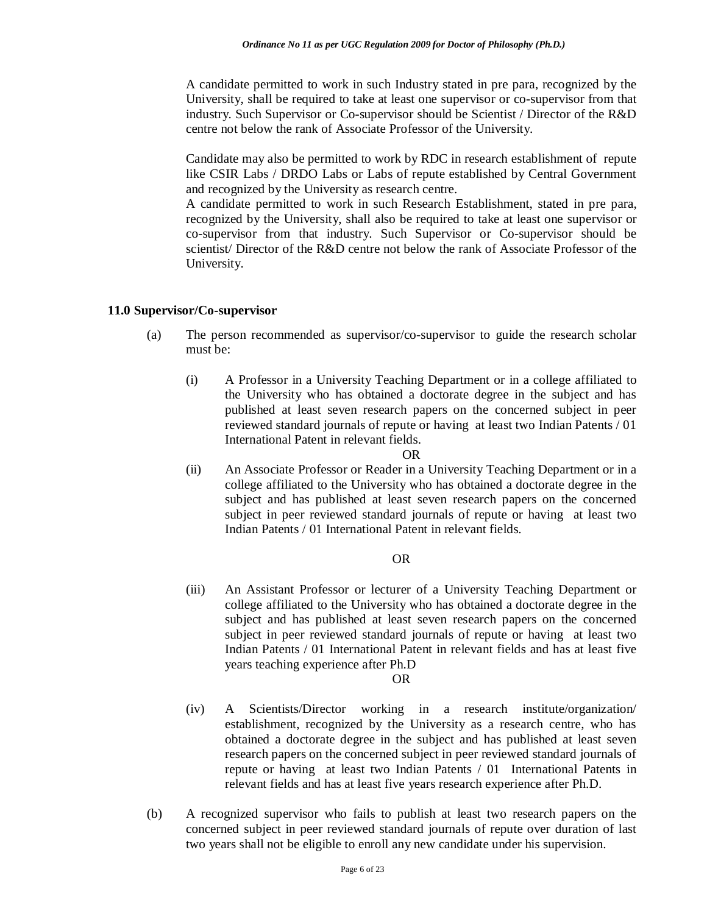A candidate permitted to work in such Industry stated in pre para, recognized by the University, shall be required to take at least one supervisor or co-supervisor from that industry. Such Supervisor or Co-supervisor should be Scientist / Director of the R&D centre not below the rank of Associate Professor of the University.

Candidate may also be permitted to work by RDC in research establishment of repute like CSIR Labs / DRDO Labs or Labs of repute established by Central Government and recognized by the University as research centre.

A candidate permitted to work in such Research Establishment, stated in pre para, recognized by the University, shall also be required to take at least one supervisor or co-supervisor from that industry. Such Supervisor or Co-supervisor should be scientist/ Director of the R&D centre not below the rank of Associate Professor of the University.

## **11.0 Supervisor/Co-supervisor**

- (a) The person recommended as supervisor/co-supervisor to guide the research scholar must be:
	- (i) A Professor in a University Teaching Department or in a college affiliated to the University who has obtained a doctorate degree in the subject and has published at least seven research papers on the concerned subject in peer reviewed standard journals of repute or having at least two Indian Patents / 01 International Patent in relevant fields.

#### OR

(ii) An Associate Professor or Reader in a University Teaching Department or in a college affiliated to the University who has obtained a doctorate degree in the subject and has published at least seven research papers on the concerned subject in peer reviewed standard journals of repute or having at least two Indian Patents / 01 International Patent in relevant fields.

#### OR

(iii) An Assistant Professor or lecturer of a University Teaching Department or college affiliated to the University who has obtained a doctorate degree in the subject and has published at least seven research papers on the concerned subject in peer reviewed standard journals of repute or having at least two Indian Patents / 01 International Patent in relevant fields and has at least five years teaching experience after Ph.D

#### OR

- (iv) A Scientists/Director working in a research institute/organization/ establishment, recognized by the University as a research centre, who has obtained a doctorate degree in the subject and has published at least seven research papers on the concerned subject in peer reviewed standard journals of repute or having at least two Indian Patents / 01 International Patents in relevant fields and has at least five years research experience after Ph.D.
- (b) A recognized supervisor who fails to publish at least two research papers on the concerned subject in peer reviewed standard journals of repute over duration of last two years shall not be eligible to enroll any new candidate under his supervision.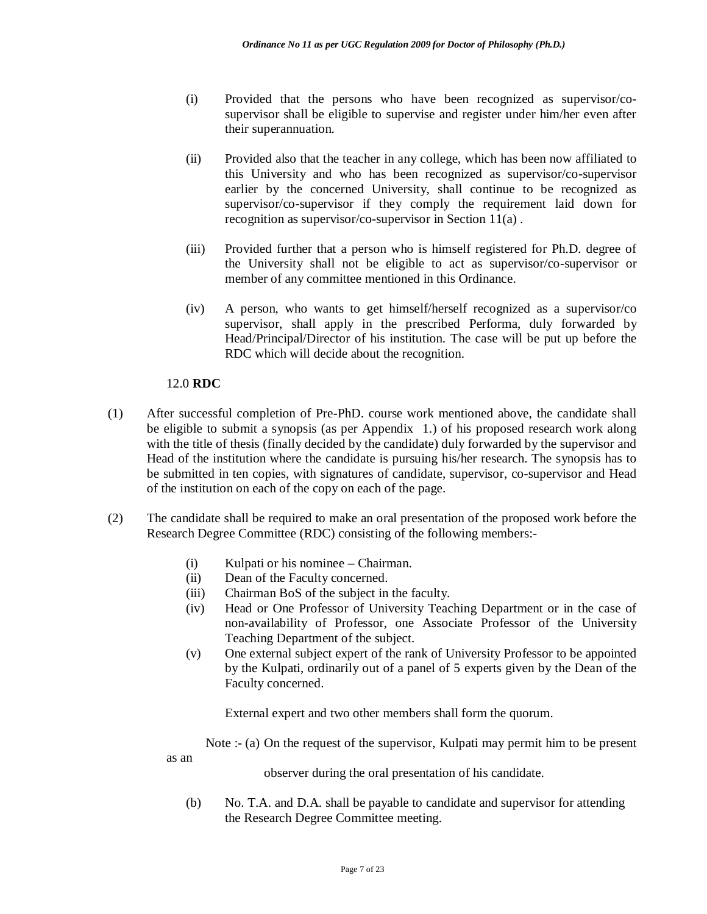- (i) Provided that the persons who have been recognized as supervisor/cosupervisor shall be eligible to supervise and register under him/her even after their superannuation.
- (ii) Provided also that the teacher in any college, which has been now affiliated to this University and who has been recognized as supervisor/co-supervisor earlier by the concerned University, shall continue to be recognized as supervisor/co-supervisor if they comply the requirement laid down for recognition as supervisor/co-supervisor in Section 11(a) .
- (iii) Provided further that a person who is himself registered for Ph.D. degree of the University shall not be eligible to act as supervisor/co-supervisor or member of any committee mentioned in this Ordinance.
- (iv) A person, who wants to get himself/herself recognized as a supervisor/co supervisor, shall apply in the prescribed Performa, duly forwarded by Head/Principal/Director of his institution. The case will be put up before the RDC which will decide about the recognition.

## 12.0 **RDC**

- (1) After successful completion of Pre-PhD. course work mentioned above, the candidate shall be eligible to submit a synopsis (as per Appendix 1.) of his proposed research work along with the title of thesis (finally decided by the candidate) duly forwarded by the supervisor and Head of the institution where the candidate is pursuing his/her research. The synopsis has to be submitted in ten copies, with signatures of candidate, supervisor, co-supervisor and Head of the institution on each of the copy on each of the page.
- (2) The candidate shall be required to make an oral presentation of the proposed work before the Research Degree Committee (RDC) consisting of the following members:-
	- (i) Kulpati or his nominee Chairman.
	- (ii) Dean of the Faculty concerned.
	- (iii) Chairman BoS of the subject in the faculty.
	- (iv) Head or One Professor of University Teaching Department or in the case of non-availability of Professor, one Associate Professor of the University Teaching Department of the subject.
	- (v) One external subject expert of the rank of University Professor to be appointed by the Kulpati, ordinarily out of a panel of 5 experts given by the Dean of the Faculty concerned.

External expert and two other members shall form the quorum.

Note :- (a) On the request of the supervisor, Kulpati may permit him to be present as an

observer during the oral presentation of his candidate.

(b) No. T.A. and D.A. shall be payable to candidate and supervisor for attending the Research Degree Committee meeting.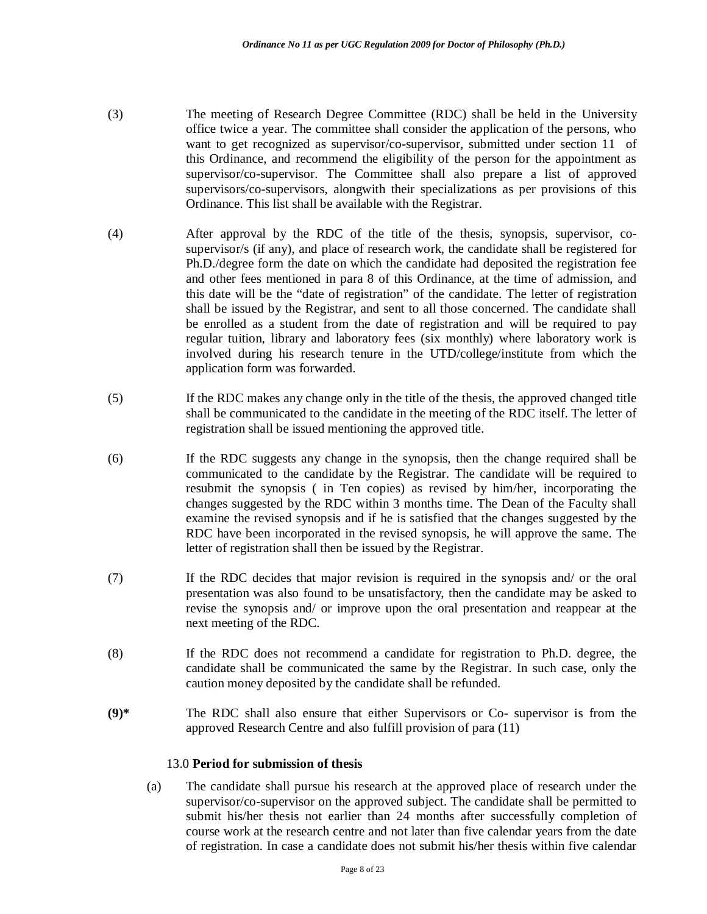- (3) The meeting of Research Degree Committee (RDC) shall be held in the University office twice a year. The committee shall consider the application of the persons, who want to get recognized as supervisor/co-supervisor, submitted under section 11 of this Ordinance, and recommend the eligibility of the person for the appointment as supervisor/co-supervisor. The Committee shall also prepare a list of approved supervisors/co-supervisors, alongwith their specializations as per provisions of this Ordinance. This list shall be available with the Registrar.
- (4) After approval by the RDC of the title of the thesis, synopsis, supervisor, cosupervisor/s (if any), and place of research work, the candidate shall be registered for Ph.D./degree form the date on which the candidate had deposited the registration fee and other fees mentioned in para 8 of this Ordinance, at the time of admission, and this date will be the "date of registration" of the candidate. The letter of registration shall be issued by the Registrar, and sent to all those concerned. The candidate shall be enrolled as a student from the date of registration and will be required to pay regular tuition, library and laboratory fees (six monthly) where laboratory work is involved during his research tenure in the UTD/college/institute from which the application form was forwarded.
- (5) If the RDC makes any change only in the title of the thesis, the approved changed title shall be communicated to the candidate in the meeting of the RDC itself. The letter of registration shall be issued mentioning the approved title.
- (6) If the RDC suggests any change in the synopsis, then the change required shall be communicated to the candidate by the Registrar. The candidate will be required to resubmit the synopsis ( in Ten copies) as revised by him/her, incorporating the changes suggested by the RDC within 3 months time. The Dean of the Faculty shall examine the revised synopsis and if he is satisfied that the changes suggested by the RDC have been incorporated in the revised synopsis, he will approve the same. The letter of registration shall then be issued by the Registrar.
- (7) If the RDC decides that major revision is required in the synopsis and/ or the oral presentation was also found to be unsatisfactory, then the candidate may be asked to revise the synopsis and/ or improve upon the oral presentation and reappear at the next meeting of the RDC.
- (8) If the RDC does not recommend a candidate for registration to Ph.D. degree, the candidate shall be communicated the same by the Registrar. In such case, only the caution money deposited by the candidate shall be refunded.
- **(9)\*** The RDC shall also ensure that either Supervisors or Co- supervisor is from the approved Research Centre and also fulfill provision of para (11)

## 13.0 **Period for submission of thesis**

(a) The candidate shall pursue his research at the approved place of research under the supervisor/co-supervisor on the approved subject. The candidate shall be permitted to submit his/her thesis not earlier than 24 months after successfully completion of course work at the research centre and not later than five calendar years from the date of registration. In case a candidate does not submit his/her thesis within five calendar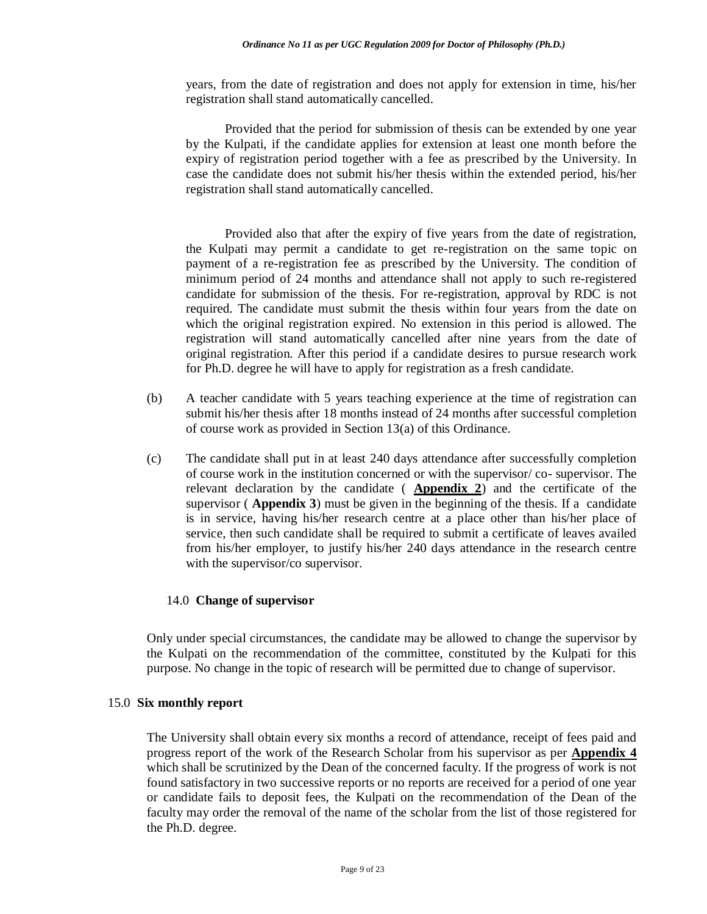years, from the date of registration and does not apply for extension in time, his/her registration shall stand automatically cancelled.

Provided that the period for submission of thesis can be extended by one year by the Kulpati, if the candidate applies for extension at least one month before the expiry of registration period together with a fee as prescribed by the University. In case the candidate does not submit his/her thesis within the extended period, his/her registration shall stand automatically cancelled.

Provided also that after the expiry of five years from the date of registration, the Kulpati may permit a candidate to get re-registration on the same topic on payment of a re-registration fee as prescribed by the University. The condition of minimum period of 24 months and attendance shall not apply to such re-registered candidate for submission of the thesis. For re-registration, approval by RDC is not required. The candidate must submit the thesis within four years from the date on which the original registration expired. No extension in this period is allowed. The registration will stand automatically cancelled after nine years from the date of original registration. After this period if a candidate desires to pursue research work for Ph.D. degree he will have to apply for registration as a fresh candidate.

- (b) A teacher candidate with 5 years teaching experience at the time of registration can submit his/her thesis after 18 months instead of 24 months after successful completion of course work as provided in Section 13(a) of this Ordinance.
- (c) The candidate shall put in at least 240 days attendance after successfully completion of course work in the institution concerned or with the supervisor/ co- supervisor. The relevant declaration by the candidate ( **Appendix 2**) and the certificate of the supervisor ( **Appendix 3**) must be given in the beginning of the thesis. If a candidate is in service, having his/her research centre at a place other than his/her place of service, then such candidate shall be required to submit a certificate of leaves availed from his/her employer, to justify his/her 240 days attendance in the research centre with the supervisor/co supervisor.

#### 14.0 **Change of supervisor**

Only under special circumstances, the candidate may be allowed to change the supervisor by the Kulpati on the recommendation of the committee, constituted by the Kulpati for this purpose. No change in the topic of research will be permitted due to change of supervisor.

#### 15.0 **Six monthly report**

The University shall obtain every six months a record of attendance, receipt of fees paid and progress report of the work of the Research Scholar from his supervisor as per **Appendix 4**  which shall be scrutinized by the Dean of the concerned faculty. If the progress of work is not found satisfactory in two successive reports or no reports are received for a period of one year or candidate fails to deposit fees, the Kulpati on the recommendation of the Dean of the faculty may order the removal of the name of the scholar from the list of those registered for the Ph.D. degree.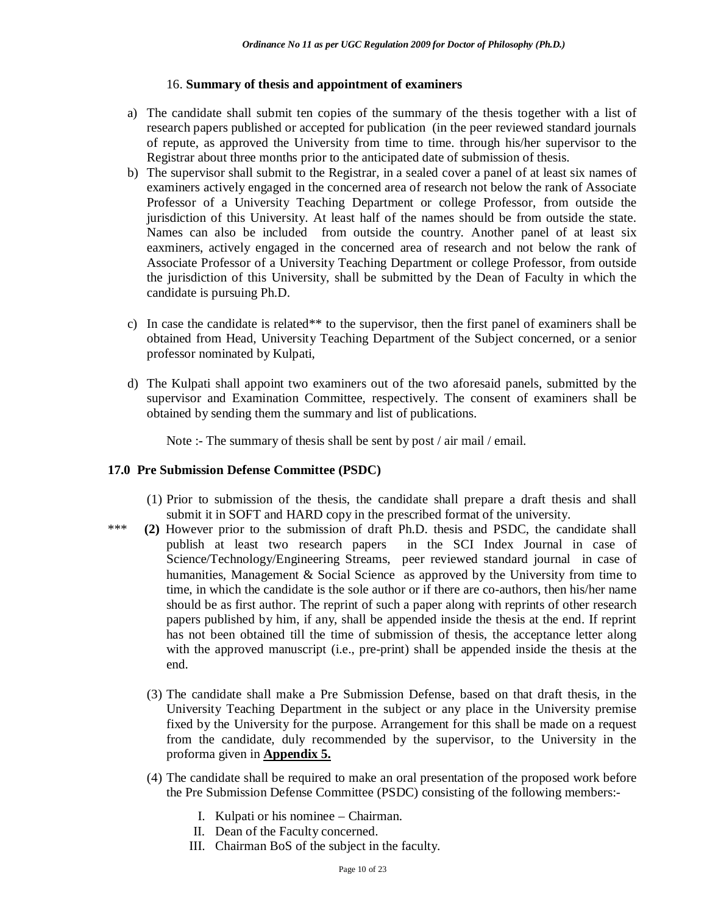## 16. **Summary of thesis and appointment of examiners**

- a) The candidate shall submit ten copies of the summary of the thesis together with a list of research papers published or accepted for publication (in the peer reviewed standard journals of repute, as approved the University from time to time. through his/her supervisor to the Registrar about three months prior to the anticipated date of submission of thesis.
- b) The supervisor shall submit to the Registrar, in a sealed cover a panel of at least six names of examiners actively engaged in the concerned area of research not below the rank of Associate Professor of a University Teaching Department or college Professor, from outside the jurisdiction of this University. At least half of the names should be from outside the state. Names can also be included from outside the country. Another panel of at least six eaxminers, actively engaged in the concerned area of research and not below the rank of Associate Professor of a University Teaching Department or college Professor, from outside the jurisdiction of this University, shall be submitted by the Dean of Faculty in which the candidate is pursuing Ph.D.
- c) In case the candidate is related\*\* to the supervisor, then the first panel of examiners shall be obtained from Head, University Teaching Department of the Subject concerned, or a senior professor nominated by Kulpati,
- d) The Kulpati shall appoint two examiners out of the two aforesaid panels, submitted by the supervisor and Examination Committee, respectively. The consent of examiners shall be obtained by sending them the summary and list of publications.

Note :- The summary of thesis shall be sent by post / air mail / email.

## **17.0 Pre Submission Defense Committee (PSDC)**

- (1) Prior to submission of the thesis, the candidate shall prepare a draft thesis and shall submit it in SOFT and HARD copy in the prescribed format of the university.
- \*\*\* **(2)** However prior to the submission of draft Ph.D. thesis and PSDC, the candidate shall publish at least two research papers in the SCI Index Journal in case of Science/Technology/Engineering Streams, peer reviewed standard journal in case of humanities, Management & Social Science as approved by the University from time to time, in which the candidate is the sole author or if there are co-authors, then his/her name should be as first author. The reprint of such a paper along with reprints of other research papers published by him, if any, shall be appended inside the thesis at the end. If reprint has not been obtained till the time of submission of thesis, the acceptance letter along with the approved manuscript (i.e., pre-print) shall be appended inside the thesis at the end.
	- (3) The candidate shall make a Pre Submission Defense, based on that draft thesis, in the University Teaching Department in the subject or any place in the University premise fixed by the University for the purpose. Arrangement for this shall be made on a request from the candidate, duly recommended by the supervisor, to the University in the proforma given in **Appendix 5.**
	- (4) The candidate shall be required to make an oral presentation of the proposed work before the Pre Submission Defense Committee (PSDC) consisting of the following members:-
		- I. Kulpati or his nominee Chairman.
		- II. Dean of the Faculty concerned.
		- III. Chairman BoS of the subject in the faculty.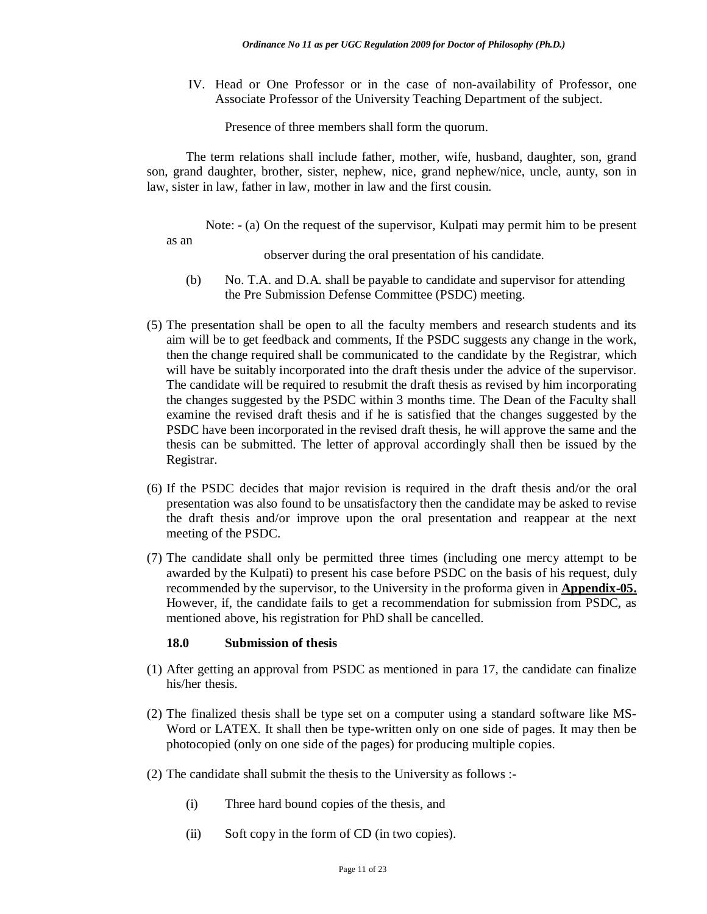IV. Head or One Professor or in the case of non-availability of Professor, one Associate Professor of the University Teaching Department of the subject.

Presence of three members shall form the quorum.

The term relations shall include father, mother, wife, husband, daughter, son, grand son, grand daughter, brother, sister, nephew, nice, grand nephew/nice, uncle, aunty, son in law, sister in law, father in law, mother in law and the first cousin.

Note: - (a) On the request of the supervisor, Kulpati may permit him to be present as an

observer during the oral presentation of his candidate.

- (b) No. T.A. and D.A. shall be payable to candidate and supervisor for attending the Pre Submission Defense Committee (PSDC) meeting.
- (5) The presentation shall be open to all the faculty members and research students and its aim will be to get feedback and comments, If the PSDC suggests any change in the work, then the change required shall be communicated to the candidate by the Registrar, which will have be suitably incorporated into the draft thesis under the advice of the supervisor. The candidate will be required to resubmit the draft thesis as revised by him incorporating the changes suggested by the PSDC within 3 months time. The Dean of the Faculty shall examine the revised draft thesis and if he is satisfied that the changes suggested by the PSDC have been incorporated in the revised draft thesis, he will approve the same and the thesis can be submitted. The letter of approval accordingly shall then be issued by the Registrar.
- (6) If the PSDC decides that major revision is required in the draft thesis and/or the oral presentation was also found to be unsatisfactory then the candidate may be asked to revise the draft thesis and/or improve upon the oral presentation and reappear at the next meeting of the PSDC.
- (7) The candidate shall only be permitted three times (including one mercy attempt to be awarded by the Kulpati) to present his case before PSDC on the basis of his request, duly recommended by the supervisor, to the University in the proforma given in **Appendix-05.** However, if, the candidate fails to get a recommendation for submission from PSDC, as mentioned above, his registration for PhD shall be cancelled.

## **18.0 Submission of thesis**

- (1) After getting an approval from PSDC as mentioned in para 17, the candidate can finalize his/her thesis.
- (2) The finalized thesis shall be type set on a computer using a standard software like MS-Word or LATEX. It shall then be type-written only on one side of pages. It may then be photocopied (only on one side of the pages) for producing multiple copies.
- (2) The candidate shall submit the thesis to the University as follows :-
	- (i) Three hard bound copies of the thesis, and
	- (ii) Soft copy in the form of CD (in two copies).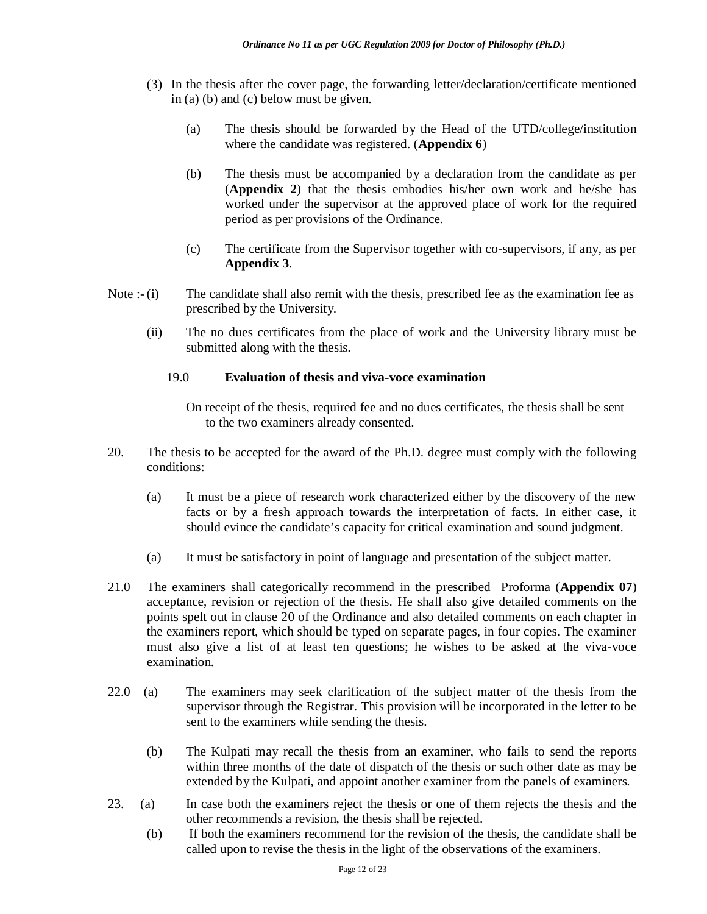- (3) In the thesis after the cover page, the forwarding letter/declaration/certificate mentioned in (a) (b) and (c) below must be given.
	- (a) The thesis should be forwarded by the Head of the UTD/college/institution where the candidate was registered. (**Appendix 6**)
	- (b) The thesis must be accompanied by a declaration from the candidate as per (**Appendix 2**) that the thesis embodies his/her own work and he/she has worked under the supervisor at the approved place of work for the required period as per provisions of the Ordinance.
	- (c) The certificate from the Supervisor together with co-supervisors, if any, as per **Appendix 3**.
- Note :- (i) The candidate shall also remit with the thesis, prescribed fee as the examination fee as prescribed by the University.
	- (ii) The no dues certificates from the place of work and the University library must be submitted along with the thesis.

#### 19.0 **Evaluation of thesis and viva-voce examination**

On receipt of the thesis, required fee and no dues certificates, the thesis shall be sent to the two examiners already consented.

- 20. The thesis to be accepted for the award of the Ph.D. degree must comply with the following conditions:
	- (a) It must be a piece of research work characterized either by the discovery of the new facts or by a fresh approach towards the interpretation of facts. In either case, it should evince the candidate's capacity for critical examination and sound judgment.
	- (a) It must be satisfactory in point of language and presentation of the subject matter.
- 21.0 The examiners shall categorically recommend in the prescribed Proforma (**Appendix 07**) acceptance, revision or rejection of the thesis. He shall also give detailed comments on the points spelt out in clause 20 of the Ordinance and also detailed comments on each chapter in the examiners report, which should be typed on separate pages, in four copies. The examiner must also give a list of at least ten questions; he wishes to be asked at the viva-voce examination.
- 22.0 (a) The examiners may seek clarification of the subject matter of the thesis from the supervisor through the Registrar. This provision will be incorporated in the letter to be sent to the examiners while sending the thesis.
	- (b) The Kulpati may recall the thesis from an examiner, who fails to send the reports within three months of the date of dispatch of the thesis or such other date as may be extended by the Kulpati, and appoint another examiner from the panels of examiners.
- 23. (a) In case both the examiners reject the thesis or one of them rejects the thesis and the other recommends a revision, the thesis shall be rejected.
	- (b) If both the examiners recommend for the revision of the thesis, the candidate shall be called upon to revise the thesis in the light of the observations of the examiners.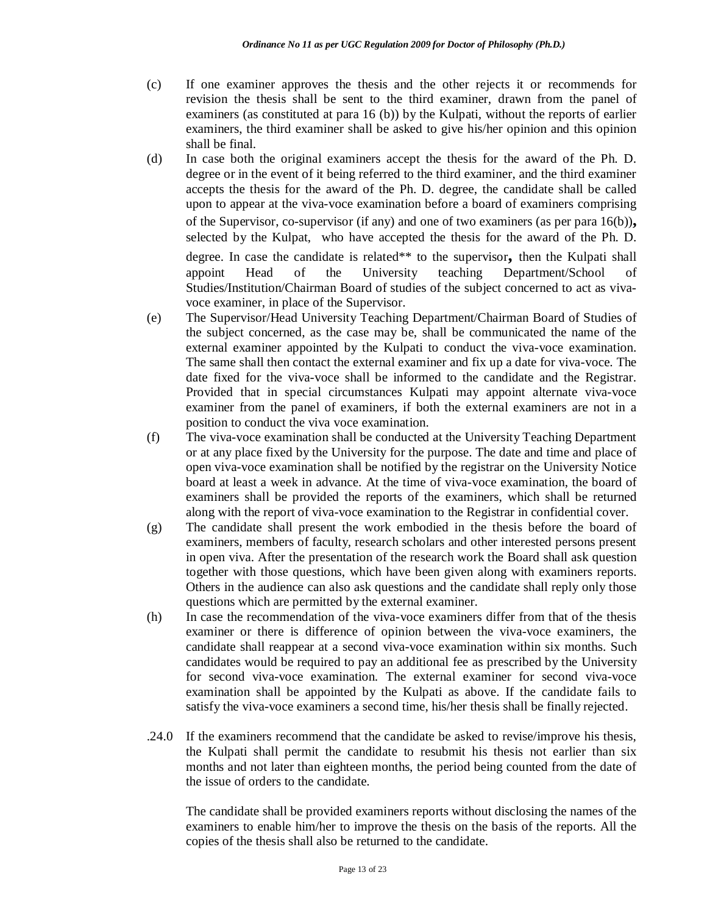- (c) If one examiner approves the thesis and the other rejects it or recommends for revision the thesis shall be sent to the third examiner, drawn from the panel of examiners (as constituted at para 16 (b)) by the Kulpati, without the reports of earlier examiners, the third examiner shall be asked to give his/her opinion and this opinion shall be final.
- (d) In case both the original examiners accept the thesis for the award of the Ph. D. degree or in the event of it being referred to the third examiner, and the third examiner accepts the thesis for the award of the Ph. D. degree, the candidate shall be called upon to appear at the viva-voce examination before a board of examiners comprising of the Supervisor, co-supervisor (if any) and one of two examiners (as per para 16(b))**,**  selected by the Kulpat, who have accepted the thesis for the award of the Ph. D. degree. In case the candidate is related\*\* to the supervisor**,** then the Kulpati shall appoint Head of the University teaching Department/School of Studies/Institution/Chairman Board of studies of the subject concerned to act as vivavoce examiner, in place of the Supervisor.
- (e) The Supervisor/Head University Teaching Department/Chairman Board of Studies of the subject concerned, as the case may be, shall be communicated the name of the external examiner appointed by the Kulpati to conduct the viva-voce examination. The same shall then contact the external examiner and fix up a date for viva-voce. The date fixed for the viva-voce shall be informed to the candidate and the Registrar. Provided that in special circumstances Kulpati may appoint alternate viva-voce examiner from the panel of examiners, if both the external examiners are not in a position to conduct the viva voce examination.
- (f) The viva-voce examination shall be conducted at the University Teaching Department or at any place fixed by the University for the purpose. The date and time and place of open viva-voce examination shall be notified by the registrar on the University Notice board at least a week in advance. At the time of viva-voce examination, the board of examiners shall be provided the reports of the examiners, which shall be returned along with the report of viva-voce examination to the Registrar in confidential cover.
- (g) The candidate shall present the work embodied in the thesis before the board of examiners, members of faculty, research scholars and other interested persons present in open viva. After the presentation of the research work the Board shall ask question together with those questions, which have been given along with examiners reports. Others in the audience can also ask questions and the candidate shall reply only those questions which are permitted by the external examiner.
- (h) In case the recommendation of the viva-voce examiners differ from that of the thesis examiner or there is difference of opinion between the viva-voce examiners, the candidate shall reappear at a second viva-voce examination within six months. Such candidates would be required to pay an additional fee as prescribed by the University for second viva-voce examination. The external examiner for second viva-voce examination shall be appointed by the Kulpati as above. If the candidate fails to satisfy the viva-voce examiners a second time, his/her thesis shall be finally rejected.
- .24.0 If the examiners recommend that the candidate be asked to revise/improve his thesis, the Kulpati shall permit the candidate to resubmit his thesis not earlier than six months and not later than eighteen months, the period being counted from the date of the issue of orders to the candidate.

The candidate shall be provided examiners reports without disclosing the names of the examiners to enable him/her to improve the thesis on the basis of the reports. All the copies of the thesis shall also be returned to the candidate.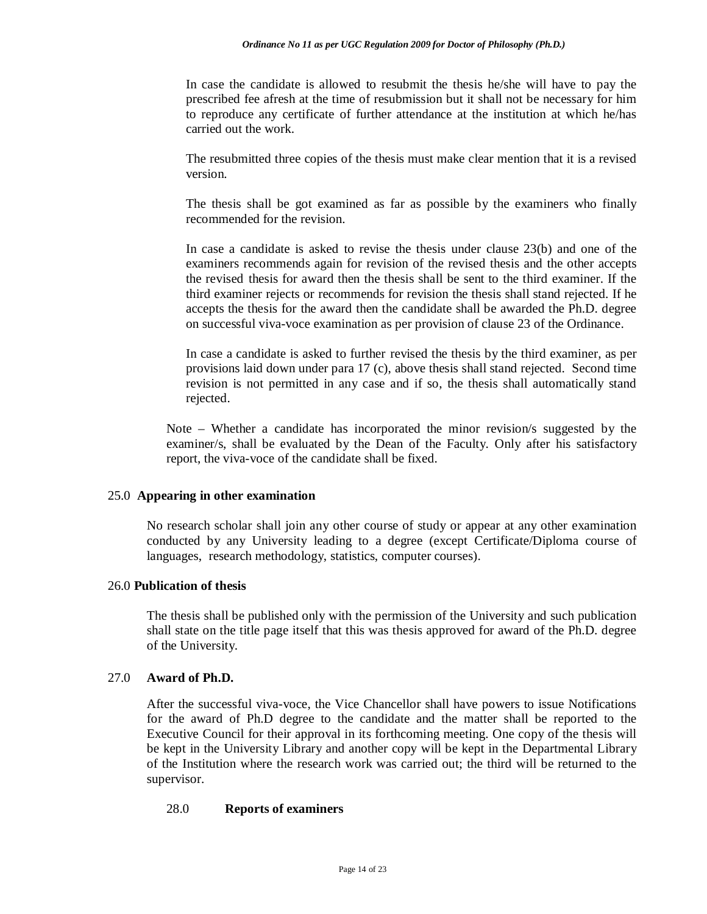In case the candidate is allowed to resubmit the thesis he/she will have to pay the prescribed fee afresh at the time of resubmission but it shall not be necessary for him to reproduce any certificate of further attendance at the institution at which he/has carried out the work.

The resubmitted three copies of the thesis must make clear mention that it is a revised version.

The thesis shall be got examined as far as possible by the examiners who finally recommended for the revision.

In case a candidate is asked to revise the thesis under clause 23(b) and one of the examiners recommends again for revision of the revised thesis and the other accepts the revised thesis for award then the thesis shall be sent to the third examiner. If the third examiner rejects or recommends for revision the thesis shall stand rejected. If he accepts the thesis for the award then the candidate shall be awarded the Ph.D. degree on successful viva-voce examination as per provision of clause 23 of the Ordinance.

In case a candidate is asked to further revised the thesis by the third examiner, as per provisions laid down under para 17 (c), above thesis shall stand rejected. Second time revision is not permitted in any case and if so, the thesis shall automatically stand rejected.

Note – Whether a candidate has incorporated the minor revision/s suggested by the examiner/s, shall be evaluated by the Dean of the Faculty. Only after his satisfactory report, the viva-voce of the candidate shall be fixed.

#### 25.0 **Appearing in other examination**

No research scholar shall join any other course of study or appear at any other examination conducted by any University leading to a degree (except Certificate/Diploma course of languages, research methodology, statistics, computer courses).

#### 26.0 **Publication of thesis**

The thesis shall be published only with the permission of the University and such publication shall state on the title page itself that this was thesis approved for award of the Ph.D. degree of the University.

#### 27.0 **Award of Ph.D.**

After the successful viva-voce, the Vice Chancellor shall have powers to issue Notifications for the award of Ph.D degree to the candidate and the matter shall be reported to the Executive Council for their approval in its forthcoming meeting. One copy of the thesis will be kept in the University Library and another copy will be kept in the Departmental Library of the Institution where the research work was carried out; the third will be returned to the supervisor.

#### 28.0 **Reports of examiners**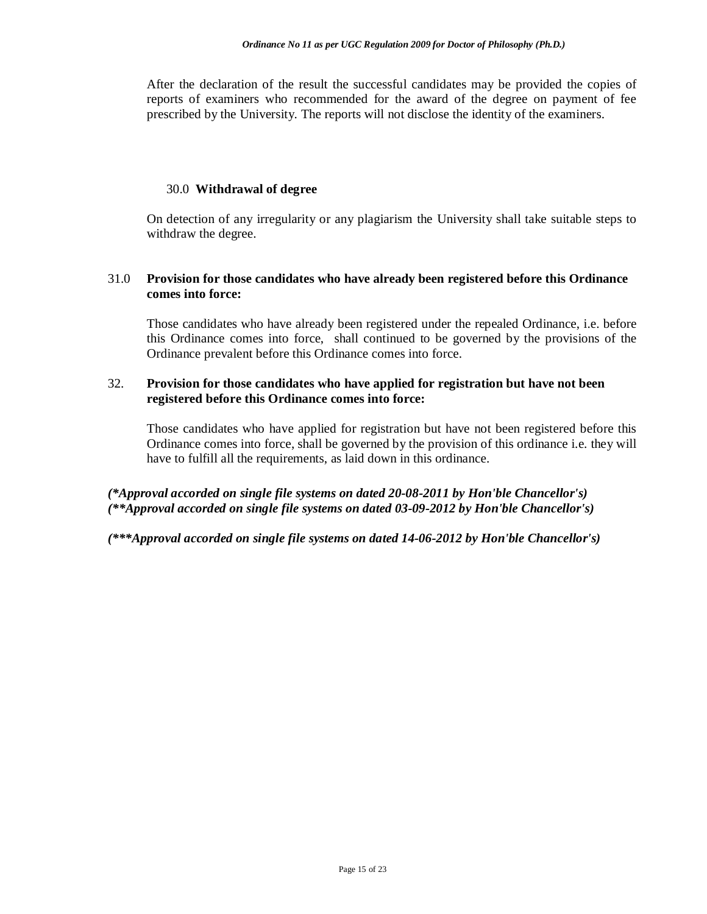After the declaration of the result the successful candidates may be provided the copies of reports of examiners who recommended for the award of the degree on payment of fee prescribed by the University. The reports will not disclose the identity of the examiners.

#### 30.0 **Withdrawal of degree**

On detection of any irregularity or any plagiarism the University shall take suitable steps to withdraw the degree.

## 31.0 **Provision for those candidates who have already been registered before this Ordinance comes into force:**

Those candidates who have already been registered under the repealed Ordinance, i.e. before this Ordinance comes into force, shall continued to be governed by the provisions of the Ordinance prevalent before this Ordinance comes into force.

## 32. **Provision for those candidates who have applied for registration but have not been registered before this Ordinance comes into force:**

Those candidates who have applied for registration but have not been registered before this Ordinance comes into force, shall be governed by the provision of this ordinance i.e. they will have to fulfill all the requirements, as laid down in this ordinance.

*(\*Approval accorded on single file systems on dated 20-08-2011 by Hon'ble Chancellor's) (\*\*Approval accorded on single file systems on dated 03-09-2012 by Hon'ble Chancellor's)*

*(\*\*\*Approval accorded on single file systems on dated 14-06-2012 by Hon'ble Chancellor's)*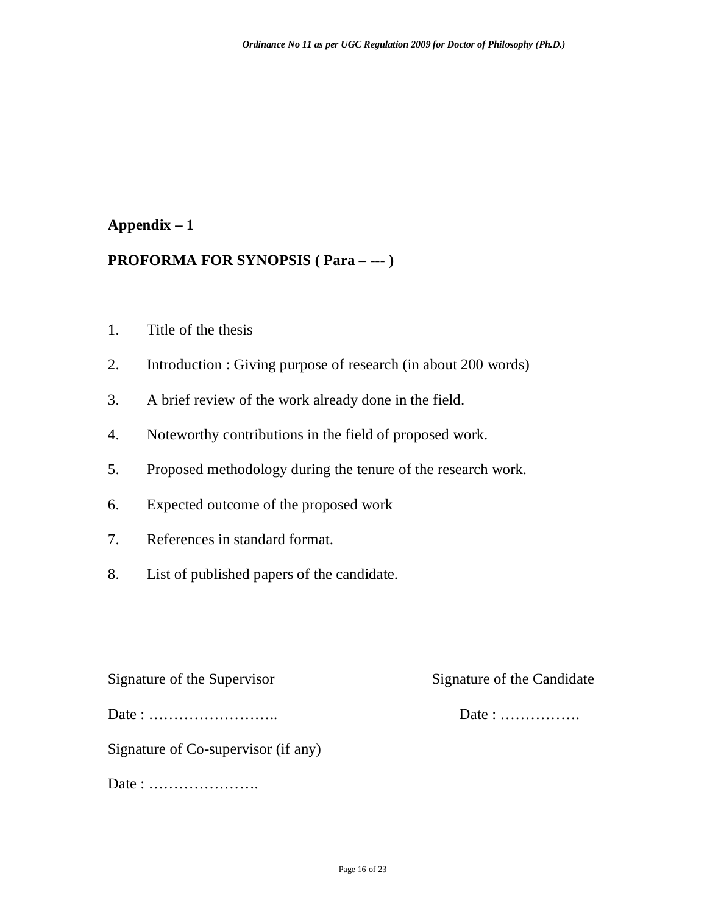## **PROFORMA FOR SYNOPSIS ( Para – --- )**

- 1. Title of the thesis
- 2. Introduction : Giving purpose of research (in about 200 words)
- 3. A brief review of the work already done in the field.
- 4. Noteworthy contributions in the field of proposed work.
- 5. Proposed methodology during the tenure of the research work.
- 6. Expected outcome of the proposed work
- 7. References in standard format.
- 8. List of published papers of the candidate.

Signature of the Supervisor Signature of the Candidate

Date : …………………….. Date : …………….

Signature of Co-supervisor (if any)

Date : ………………….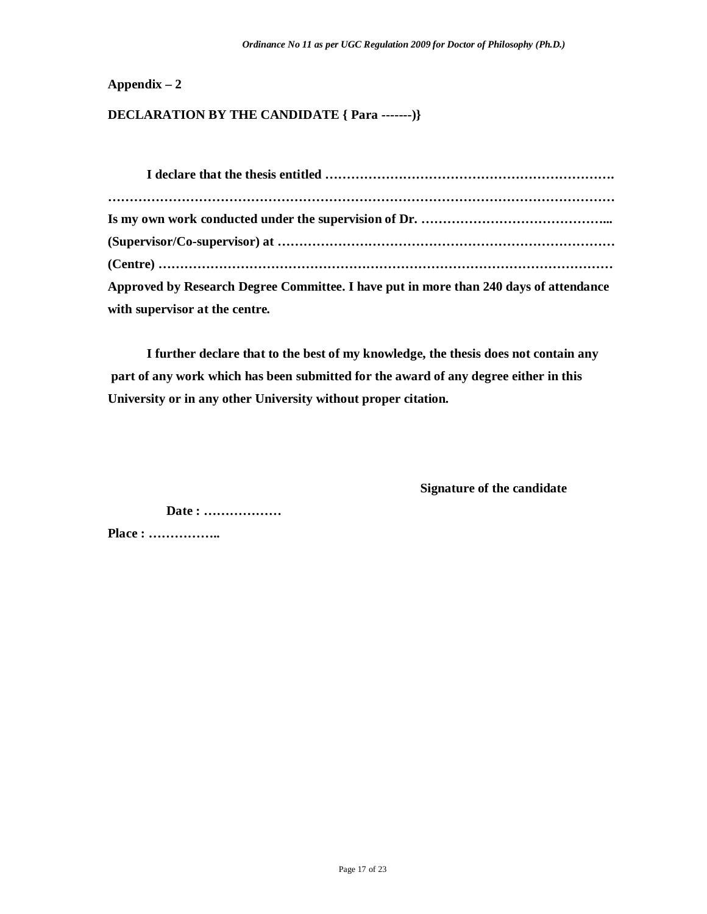## **DECLARATION BY THE CANDIDATE { Para -------)}**

| Approved by Research Degree Committee. I have put in more than 240 days of attendance |
|---------------------------------------------------------------------------------------|
| with supervisor at the centre.                                                        |

**I further declare that to the best of my knowledge, the thesis does not contain any part of any work which has been submitted for the award of any degree either in this University or in any other University without proper citation.**

**Signature of the candidate**

**Date : ………………**

**Place : ……………..**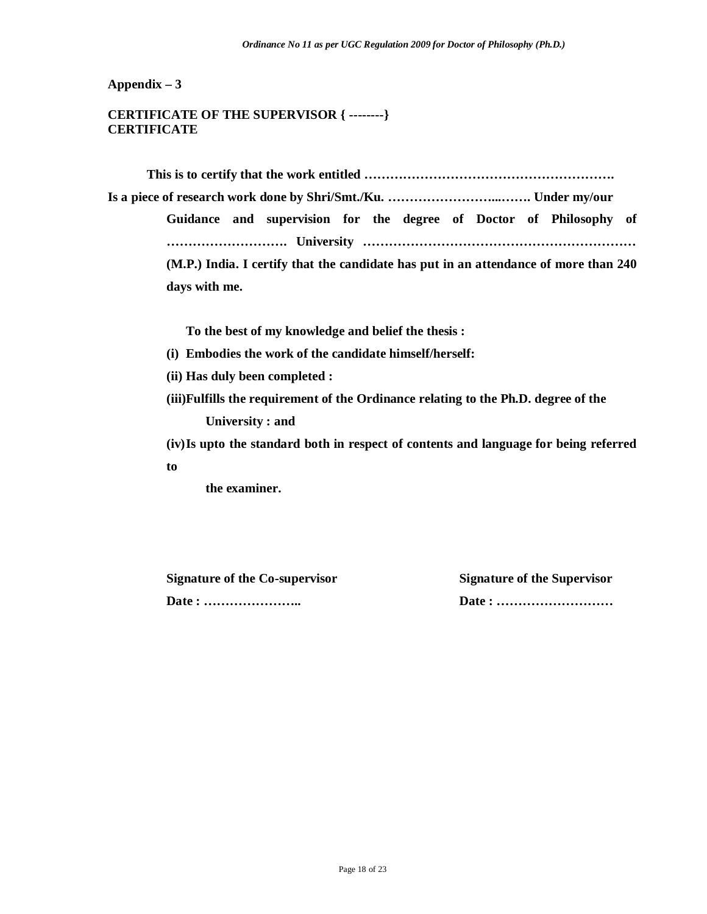## **CERTIFICATE OF THE SUPERVISOR { --------} CERTIFICATE**

**This is to certify that the work entitled …………………………………………………. Is a piece of research work done by Shri/Smt./Ku. ……………………...……. Under my/our Guidance and supervision for the degree of Doctor of Philosophy of** 

**………………………. University ………………………………………………………** 

**(M.P.) India. I certify that the candidate has put in an attendance of more than 240 days with me.**

**To the best of my knowledge and belief the thesis :**

- **(i) Embodies the work of the candidate himself/herself:**
- **(ii) Has duly been completed :**
- **(iii)Fulfills the requirement of the Ordinance relating to the Ph.D. degree of the University : and**
- **(iv)Is upto the standard both in respect of contents and language for being referred to**

**the examiner.**

**Signature of the Co-supervisor Signature of the Supervisor Date : ………………….. Date : ………………………**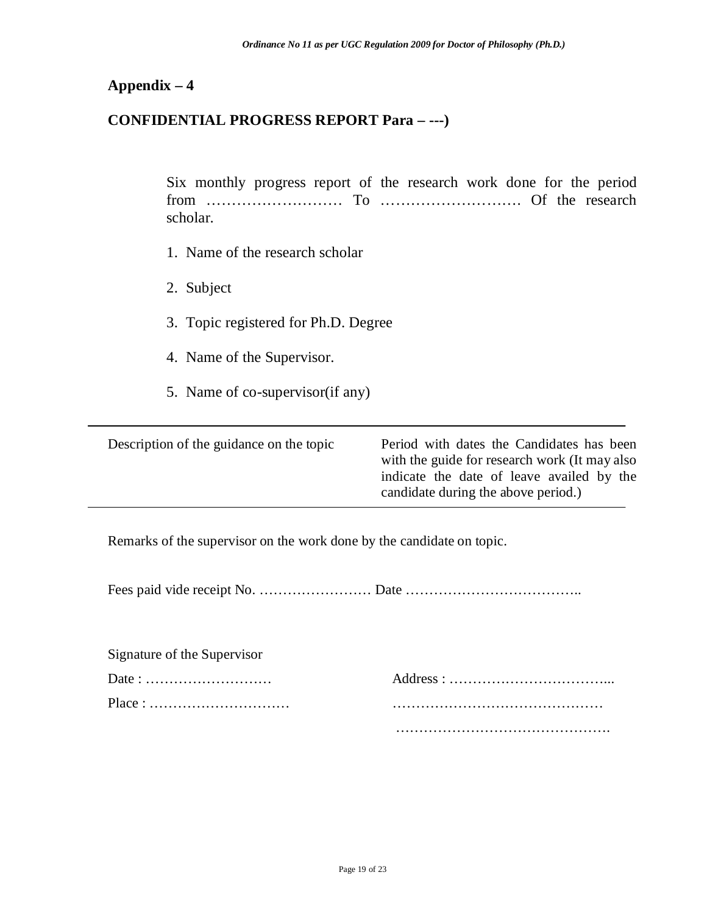## **CONFIDENTIAL PROGRESS REPORT Para – ---)**

Six monthly progress report of the research work done for the period from ……………………… To ………………………. Of the research scholar.

- 1. Name of the research scholar
- 2. Subject
- 3. Topic registered for Ph.D. Degree
- 4. Name of the Supervisor.
- 5. Name of co-supervisor(if any)

| Description of the guidance on the topic | Period with dates the Candidates has been<br>with the guide for research work (It may also<br>indicate the date of leave availed by the<br>candidate during the above period.) |
|------------------------------------------|--------------------------------------------------------------------------------------------------------------------------------------------------------------------------------|
|                                          |                                                                                                                                                                                |

Remarks of the supervisor on the work done by the candidate on topic.

Fees paid vide receipt No. …………………… Date ………………………………..

| Signature of the Supervisor                                      |  |
|------------------------------------------------------------------|--|
|                                                                  |  |
| $Place: \ldots \ldots \ldots \ldots \ldots \ldots \ldots \ldots$ |  |
|                                                                  |  |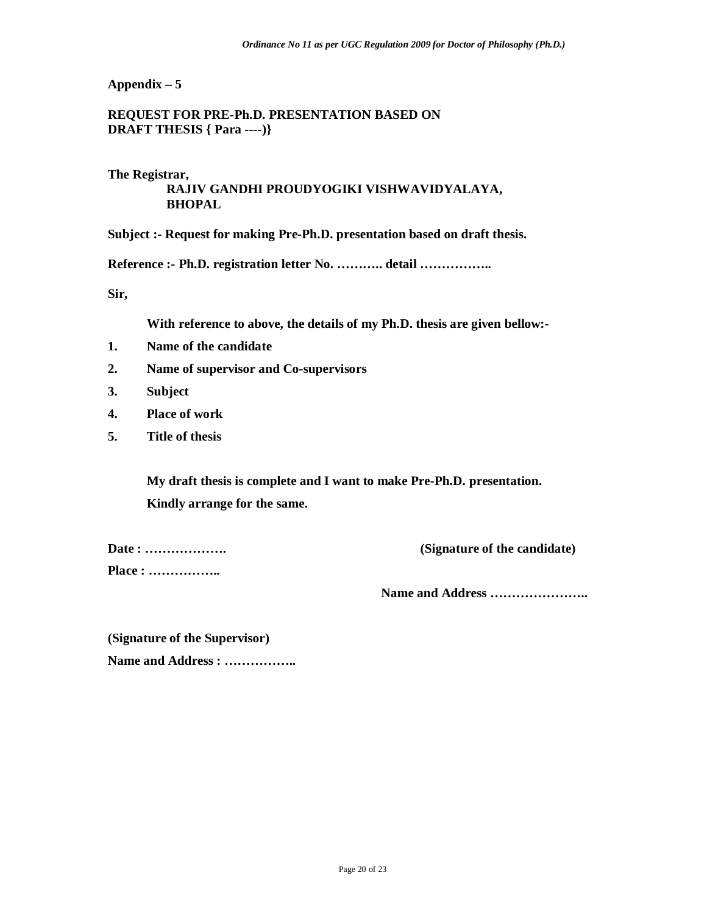## **REQUEST FOR PRE-Ph.D. PRESENTATION BASED ON DRAFT THESIS { Para ----)}**

#### **The Registrar,**

## **RAJIV GANDHI PROUDYOGIKI VISHWAVIDYALAYA, BHOPAL**

**Subject :- Request for making Pre-Ph.D. presentation based on draft thesis.**

**Reference :- Ph.D. registration letter No. ……….. detail ……………..**

**Sir,**

**With reference to above, the details of my Ph.D. thesis are given bellow:-**

- **1. Name of the candidate**
- **2. Name of supervisor and Co-supervisors**
- **3. Subject**
- **4. Place of work**
- **5. Title of thesis**

**My draft thesis is complete and I want to make Pre-Ph.D. presentation. Kindly arrange for the same.**

**Place : ……………..**

**Date : ………………. (Signature of the candidate)**

**Name and Address …………………..**

**(Signature of the Supervisor) Name and Address : ……………..**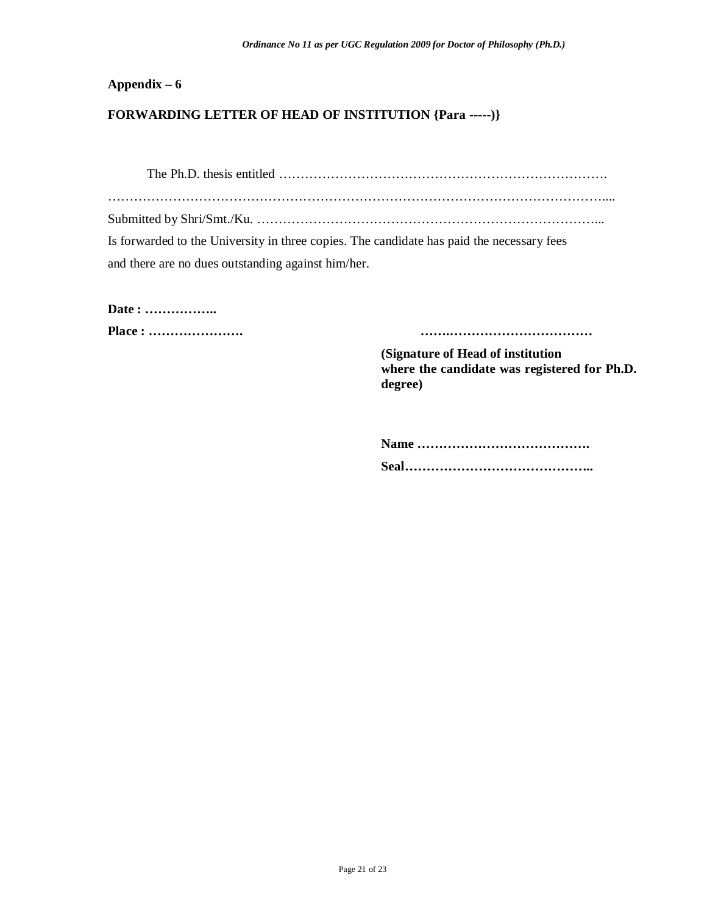## **FORWARDING LETTER OF HEAD OF INSTITUTION {Para -----)}**

The Ph.D. thesis entitled …………………………………………………………………. …………………………………………………………………………………………………….... Submitted by Shri/Smt./Ku. ……………………………………………………………………... Is forwarded to the University in three copies. The candidate has paid the necessary fees and there are no dues outstanding against him/her.

**Date : ……………..**

**Place : …………………. …….……………………………**

**(Signature of Head of institution where the candidate was registered for Ph.D. degree)**

**Name …………………………………. Seal……………………………………..**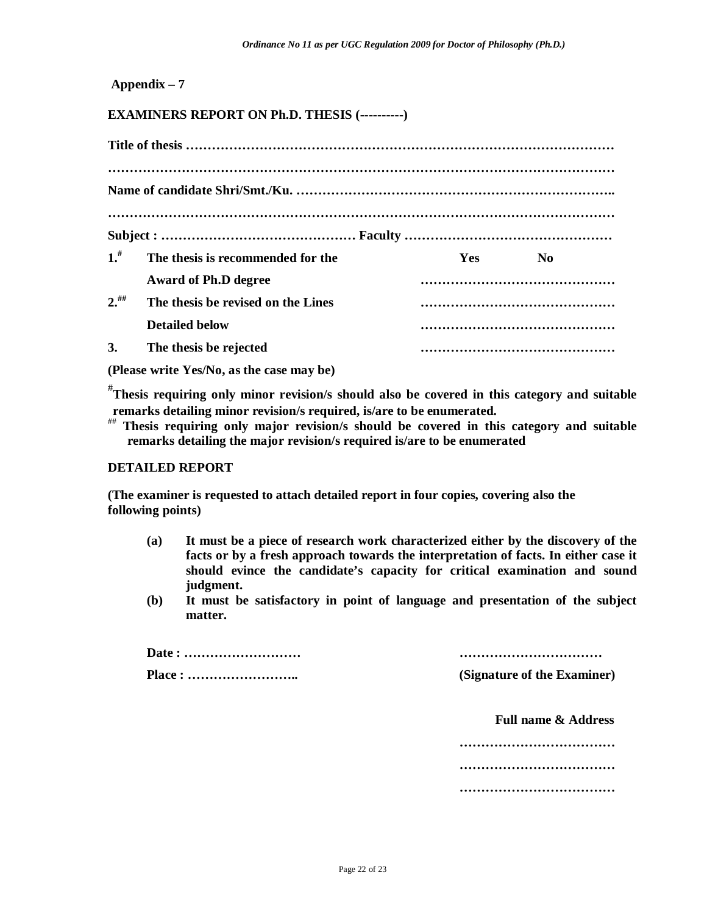## **EXAMINERS REPORT ON Ph.D. THESIS (----------)**

| 1 <sup>#</sup> | The thesis is recommended for the  |  | <b>Yes</b> | N <sub>0</sub> |  |
|----------------|------------------------------------|--|------------|----------------|--|
|                | <b>Award of Ph.D degree</b>        |  |            |                |  |
| $2.^{\#}$      | The thesis be revised on the Lines |  |            |                |  |
|                | <b>Detailed below</b>              |  |            |                |  |
| 3.             | The thesis be rejected             |  |            |                |  |

**(Please write Yes/No, as the case may be)** 

# **Thesis requiring only minor revision/s should also be covered in this category and suitable remarks detailing minor revision/s required, is/are to be enumerated.** 

## **Thesis requiring only major revision/s should be covered in this category and suitable remarks detailing the major revision/s required is/are to be enumerated** 

#### **DETAILED REPORT**

**(The examiner is requested to attach detailed report in four copies, covering also the following points)**

- **(a) It must be a piece of research work characterized either by the discovery of the facts or by a fresh approach towards the interpretation of facts. In either case it should evince the candidate's capacity for critical examination and sound judgment.**
- **(b) It must be satisfactory in point of language and presentation of the subject matter.**

**Date : ……………………… ……………………………**

**Place : …………………….. (Signature of the Examiner)**

 **Full name & Address**

**……………………………… ……………………………… ………………………………**